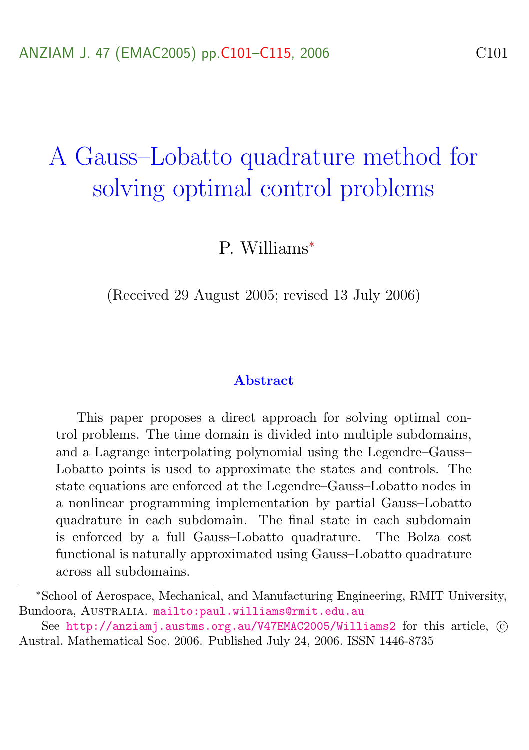# <span id="page-0-0"></span>A Gauss–Lobatto quadrature method for solving optimal control problems

P. Williams<sup>∗</sup>

(Received 29 August 2005; revised 13 July 2006)

#### Abstract

This paper proposes a direct approach for solving optimal control problems. The time domain is divided into multiple subdomains, and a Lagrange interpolating polynomial using the Legendre–Gauss– Lobatto points is used to approximate the states and controls. The state equations are enforced at the Legendre–Gauss–Lobatto nodes in a nonlinear programming implementation by partial Gauss–Lobatto quadrature in each subdomain. The final state in each subdomain is enforced by a full Gauss–Lobatto quadrature. The Bolza cost functional is naturally approximated using Gauss–Lobatto quadrature across all subdomains.

<sup>∗</sup>School of Aerospace, Mechanical, and Manufacturing Engineering, RMIT University, Bundoora, AUSTRALIA. <mailto:paul.williams@rmit.edu.au>

See <http://anziamj.austms.org.au/V47EMAC2005/Williams2> for this article,  $\odot$ Austral. Mathematical Soc. 2006. Published July 24, 2006. ISSN 1446-8735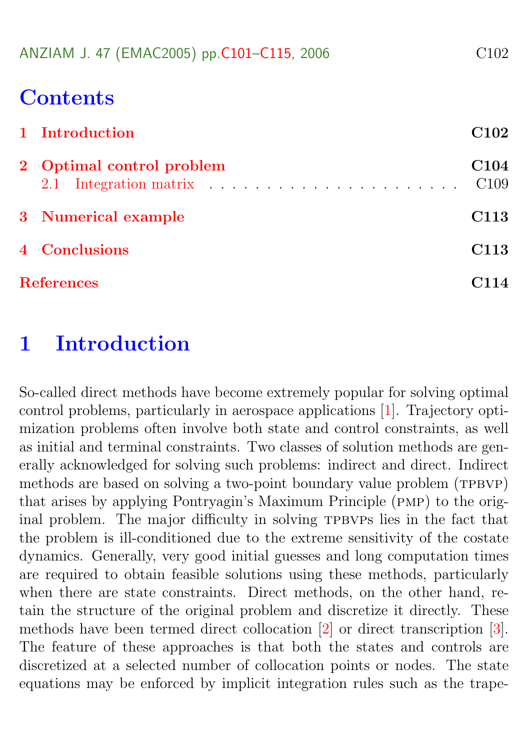<span id="page-1-1"></span>

| C <sub>102</sub> |
|------------------|
|                  |

# **Contents**

| 1 Introduction            | C102                                 |
|---------------------------|--------------------------------------|
| 2 Optimal control problem | C <sub>104</sub><br>C <sub>109</sub> |
| 3 Numerical example       | C <sub>113</sub>                     |
| 4 Conclusions             | C <sub>113</sub>                     |
| <b>References</b>         | $\overline{14}$                      |

# <span id="page-1-0"></span>1 Introduction

So-called direct methods have become extremely popular for solving optimal control problems, particularly in aerospace applications [\[1\]](#page-13-1). Trajectory optimization problems often involve both state and control constraints, as well as initial and terminal constraints. Two classes of solution methods are generally acknowledged for solving such problems: indirect and direct. Indirect methods are based on solving a two-point boundary value problem (TPBVP) that arises by applying Pontryagin's Maximum Principle (pmp) to the original problem. The major difficulty in solving TPBVPs lies in the fact that the problem is ill-conditioned due to the extreme sensitivity of the costate dynamics. Generally, very good initial guesses and long computation times are required to obtain feasible solutions using these methods, particularly when there are state constraints. Direct methods, on the other hand, retain the structure of the original problem and discretize it directly. These methods have been termed direct collocation [\[2\]](#page-13-2) or direct transcription [\[3\]](#page-13-3). The feature of these approaches is that both the states and controls are discretized at a selected number of collocation points or nodes. The state equations may be enforced by implicit integration rules such as the trape-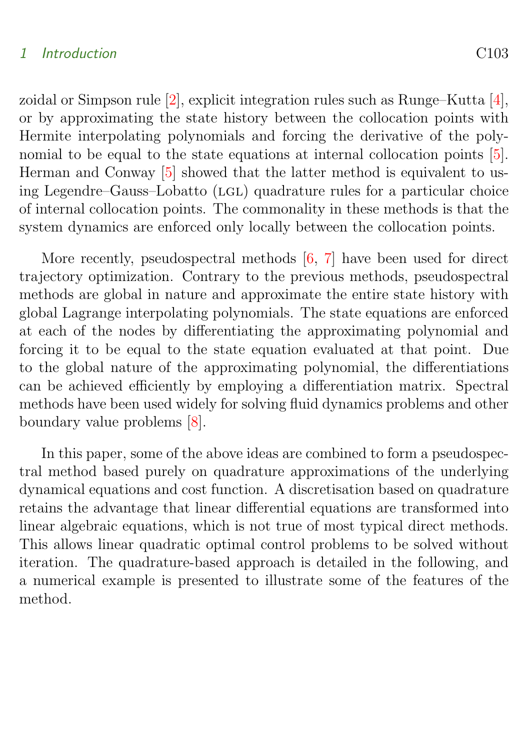#### <span id="page-2-1"></span>1 Introduction C103

zoidal or Simpson rule [\[2\]](#page-13-2), explicit integration rules such as Runge–Kutta [\[4\]](#page-13-4), or by approximating the state history between the collocation points with Hermite interpolating polynomials and forcing the derivative of the polynomial to be equal to the state equations at internal collocation points [\[5\]](#page-13-5). Herman and Conway [\[5\]](#page-13-5) showed that the latter method is equivalent to using Legendre–Gauss–Lobatto (LGL) quadrature rules for a particular choice of internal collocation points. The commonality in these methods is that the system dynamics are enforced only locally between the collocation points.

More recently, pseudospectral methods  $[6, 7]$  $[6, 7]$  $[6, 7]$  have been used for direct trajectory optimization. Contrary to the previous methods, pseudospectral methods are global in nature and approximate the entire state history with global Lagrange interpolating polynomials. The state equations are enforced at each of the nodes by differentiating the approximating polynomial and forcing it to be equal to the state equation evaluated at that point. Due to the global nature of the approximating polynomial, the differentiations can be achieved efficiently by employing a differentiation matrix. Spectral methods have been used widely for solving fluid dynamics problems and other boundary value problems [\[8\]](#page-14-2).

<span id="page-2-0"></span>In this paper, some of the above ideas are combined to form a pseudospectral method based purely on quadrature approximations of the underlying dynamical equations and cost function. A discretisation based on quadrature retains the advantage that linear differential equations are transformed into linear algebraic equations, which is not true of most typical direct methods. This allows linear quadratic optimal control problems to be solved without iteration. The quadrature-based approach is detailed in the following, and a numerical example is presented to illustrate some of the features of the method.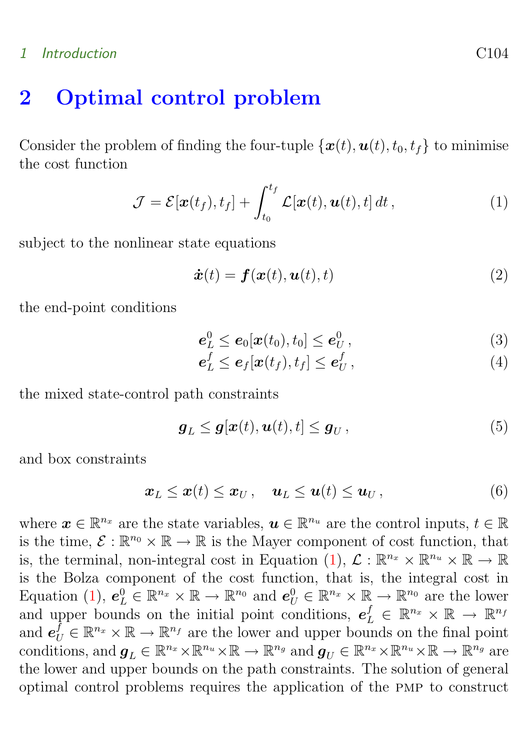# 1 Introduction C104

# 2 Optimal control problem

Consider the problem of finding the four-tuple  $\{\boldsymbol{x}(t),\boldsymbol{u}(t), t_0, t_f\}$  to minimise the cost function

<span id="page-3-0"></span>
$$
\mathcal{J} = \mathcal{E}[\boldsymbol{x}(t_f), t_f] + \int_{t_0}^{t_f} \mathcal{L}[\boldsymbol{x}(t), \boldsymbol{u}(t), t] dt , \qquad (1)
$$

subject to the nonlinear state equations

$$
\dot{\boldsymbol{x}}(t) = \boldsymbol{f}(\boldsymbol{x}(t), \boldsymbol{u}(t), t) \tag{2}
$$

the end-point conditions

$$
\boldsymbol{e}_L^0 \leq \boldsymbol{e}_0[\boldsymbol{x}(t_0), t_0] \leq \boldsymbol{e}_U^0, \qquad (3)
$$

$$
\boldsymbol{e}_L^f \leq \boldsymbol{e}_f[\boldsymbol{x}(t_f), t_f] \leq \boldsymbol{e}_U^f, \tag{4}
$$

the mixed state-control path constraints

$$
\boldsymbol{g}_L \leq \boldsymbol{g}[\boldsymbol{x}(t), \boldsymbol{u}(t), t] \leq \boldsymbol{g}_U, \tag{5}
$$

and box constraints

$$
\boldsymbol{x}_L \leq \boldsymbol{x}(t) \leq \boldsymbol{x}_U, \quad \boldsymbol{u}_L \leq \boldsymbol{u}(t) \leq \boldsymbol{u}_U, \tag{6}
$$

where  $\boldsymbol{x} \in \mathbb{R}^{n_x}$  are the state variables,  $\boldsymbol{u} \in \mathbb{R}^{n_u}$  are the control inputs,  $t \in \mathbb{R}$ is the time,  $\mathcal{E}: \mathbb{R}^{n_0} \times \mathbb{R} \to \mathbb{R}$  is the Mayer component of cost function, that is, the terminal, non-integral cost in Equation [\(1\)](#page-3-0),  $\mathcal{L}: \mathbb{R}^{n_x} \times \mathbb{R}^{n_u} \times \mathbb{R} \to \mathbb{R}$ is the Bolza component of the cost function, that is, the integral cost in Equation [\(1\)](#page-3-0),  $e_L^0 \in \mathbb{R}^{n_x} \times \mathbb{R} \to \mathbb{R}^{n_0}$  and  $e_U^0 \in \mathbb{R}^{n_x} \times \mathbb{R} \to \mathbb{R}^{n_0}$  are the lower and upper bounds on the initial point conditions,  $e^f_L \in \mathbb{R}^{n_x} \times \mathbb{R} \to \mathbb{R}^{n_f}$ and  $e_U^f \in \mathbb{R}^{n_x} \times \mathbb{R} \to \mathbb{R}^{n_f}$  are the lower and upper bounds on the final point conditions, and  $g_L \in \mathbb{R}^{n_x} \times \mathbb{R}^{n_u} \times \mathbb{R} \to \mathbb{R}^{n_g}$  and  $g_U \in \mathbb{R}^{n_x} \times \mathbb{R}^{n_u} \times \mathbb{R} \to \mathbb{R}^{n_g}$  are the lower and upper bounds on the path constraints. The solution of general optimal control problems requires the application of the pmp to construct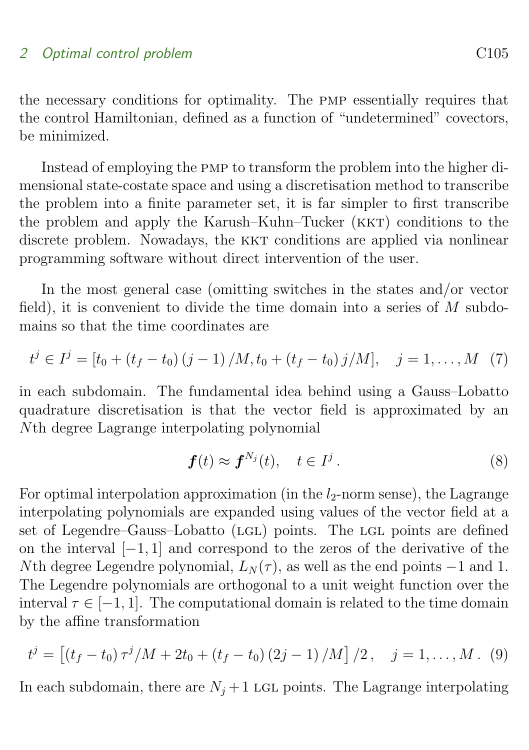the necessary conditions for optimality. The pmp essentially requires that the control Hamiltonian, defined as a function of "undetermined" covectors, be minimized.

Instead of employing the pmp to transform the problem into the higher dimensional state-costate space and using a discretisation method to transcribe the problem into a finite parameter set, it is far simpler to first transcribe the problem and apply the Karush–Kuhn–Tucker (KKT) conditions to the discrete problem. Nowadays, the KKT conditions are applied via nonlinear programming software without direct intervention of the user.

In the most general case (omitting switches in the states and/or vector field), it is convenient to divide the time domain into a series of  $M$  subdomains so that the time coordinates are

$$
t^{j} \in I^{j} = [t_{0} + (t_{f} - t_{0}) (j - 1) / M, t_{0} + (t_{f} - t_{0}) j / M], \quad j = 1, ..., M \quad (7)
$$

in each subdomain. The fundamental idea behind using a Gauss–Lobatto quadrature discretisation is that the vector field is approximated by an Nth degree Lagrange interpolating polynomial

$$
\boldsymbol{f}(t) \approx \boldsymbol{f}^{N_j}(t), \quad t \in I^j. \tag{8}
$$

For optimal interpolation approximation (in the  $l_2$ -norm sense), the Lagrange interpolating polynomials are expanded using values of the vector field at a set of Legendre–Gauss–Lobatto (LGL) points. The LGL points are defined on the interval [−1, 1] and correspond to the zeros of the derivative of the Nth degree Legendre polynomial,  $L_N(\tau)$ , as well as the end points  $-1$  and 1. The Legendre polynomials are orthogonal to a unit weight function over the interval  $\tau \in [-1, 1]$ . The computational domain is related to the time domain by the affine transformation

$$
t^{j} = [(t_{f} - t_{0}) \tau^{j}/M + 2t_{0} + (t_{f} - t_{0}) (2j - 1)/M]/2, \quad j = 1, ..., M.
$$
 (9)

In each subdomain, there are  $N_i + 1$  LGL points. The Lagrange interpolating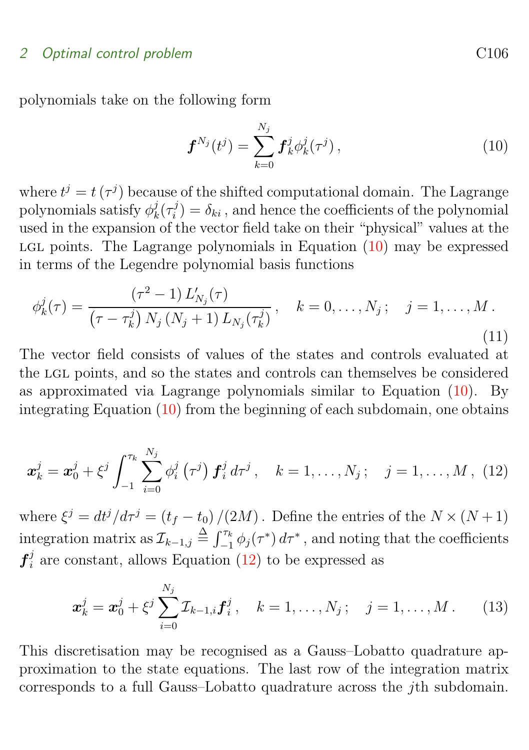polynomials take on the following form

<span id="page-5-0"></span>
$$
\boldsymbol{f}^{N_j}(t^j) = \sum_{k=0}^{N_j} \boldsymbol{f}_k^j \phi_k^j(\tau^j) \,, \tag{10}
$$

where  $t^j = t(\tau^j)$  because of the shifted computational domain. The Lagrange polynomials satisfy  $\phi_k^j$  $\frac{j}{k}(\tau_i^j$  $i_j^j$  =  $\delta_{ki}$ , and hence the coefficients of the polynomial used in the expansion of the vector field take on their "physical" values at the LGL points. The Lagrange polynomials in Equation  $(10)$  may be expressed in terms of the Legendre polynomial basis functions

$$
\phi_k^j(\tau) = \frac{(\tau^2 - 1) L'_{N_j}(\tau)}{(\tau - \tau_k^j) N_j (N_j + 1) L_{N_j}(\tau_k^j)}, \quad k = 0, \dots, N_j; \quad j = 1, \dots, M.
$$
\n(11)

The vector field consists of values of the states and controls evaluated at the lgl points, and so the states and controls can themselves be considered as approximated via Lagrange polynomials similar to Equation [\(10\)](#page-5-0). By integrating Equation [\(10\)](#page-5-0) from the beginning of each subdomain, one obtains

<span id="page-5-1"></span>
$$
\boldsymbol{x}_{k}^{j} = \boldsymbol{x}_{0}^{j} + \xi^{j} \int_{-1}^{\tau_{k}} \sum_{i=0}^{N_{j}} \phi_{i}^{j}(\tau^{j}) \boldsymbol{f}_{i}^{j} d\tau^{j}, \quad k = 1, ..., N_{j}; \quad j = 1, ..., M, (12)
$$

where  $\xi^j = dt^j/d\tau^j = (t_f - t_0)/(2M)$ . Define the entries of the  $N \times (N+1)$ integration matrix as  $\mathcal{I}_{k-1,j} \stackrel{\Delta}{=} \int_{-1}^{\tau_k} \phi_j(\tau^*) d\tau^*$ , and noting that the coefficients  $\boldsymbol{f}_i^j$  $i_i$  are constant, allows Equation [\(12\)](#page-5-1) to be expressed as

$$
\boldsymbol{x}_{k}^{j} = \boldsymbol{x}_{0}^{j} + \xi^{j} \sum_{i=0}^{N_{j}} \mathcal{I}_{k-1,i} \boldsymbol{f}_{i}^{j}, \quad k = 1, \ldots, N_{j}; \quad j = 1, \ldots, M. \qquad (13)
$$

This discretisation may be recognised as a Gauss–Lobatto quadrature approximation to the state equations. The last row of the integration matrix corresponds to a full Gauss–Lobatto quadrature across the jth subdomain.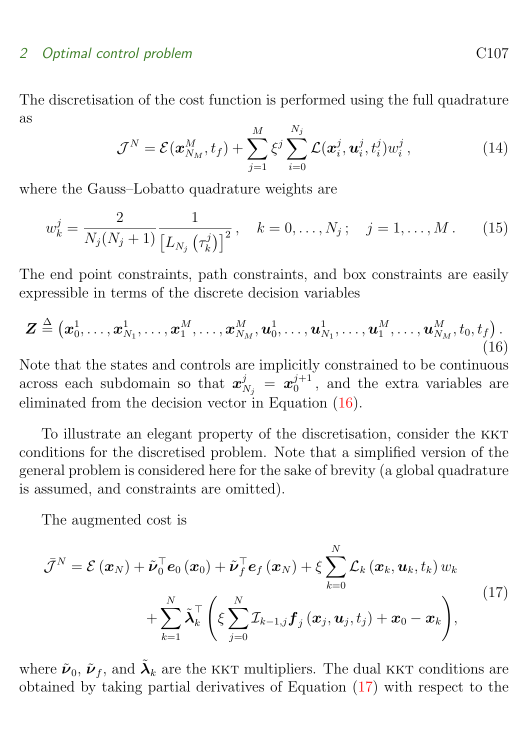The discretisation of the cost function is performed using the full quadrature as

<span id="page-6-0"></span>
$$
\mathcal{J}^N = \mathcal{E}(\boldsymbol{x}_{N_M}^M, t_f) + \sum_{j=1}^M \xi^j \sum_{i=0}^{N_j} \mathcal{L}(\boldsymbol{x}_i^j, \boldsymbol{u}_i^j, t_i^j) w_i^j , \qquad (14)
$$

where the Gauss–Lobatto quadrature weights are

$$
w_k^j = \frac{2}{N_j(N_j+1)} \frac{1}{\left[L_{N_j}(\tau_k^j)\right]^2}, \quad k = 0, \dots, N_j; \quad j = 1, \dots, M. \tag{15}
$$

The end point constraints, path constraints, and box constraints are easily expressible in terms of the discrete decision variables

$$
\boldsymbol{Z} \triangleq \left(\boldsymbol{x}_0^1,\ldots,\boldsymbol{x}_{N_1}^1,\ldots,\boldsymbol{x}_1^M,\ldots,\boldsymbol{x}_{N_M}^M,\boldsymbol{u}_0^1,\ldots,\boldsymbol{u}_{N_1}^1,\ldots,\boldsymbol{u}_1^M,\ldots,\boldsymbol{u}_{N_M}^M,t_0,t_f\right). \tag{16}
$$

Note that the states and controls are implicitly constrained to be continuous across each subdomain so that  $\boldsymbol{x}_{N_j}^j = \boldsymbol{x}_0^{j+1}$  $_{0}^{j+1}$ , and the extra variables are eliminated from the decision vector in Equation [\(16\)](#page-6-0).

To illustrate an elegant property of the discretisation, consider the kkt conditions for the discretised problem. Note that a simplified version of the general problem is considered here for the sake of brevity (a global quadrature is assumed, and constraints are omitted).

<span id="page-6-1"></span>The augmented cost is

$$
\bar{\mathcal{J}}^{N} = \mathcal{E}(\boldsymbol{x}_{N}) + \tilde{\boldsymbol{\nu}}_{0}^{\top} \boldsymbol{e}_{0}(\boldsymbol{x}_{0}) + \tilde{\boldsymbol{\nu}}_{f}^{\top} \boldsymbol{e}_{f}(\boldsymbol{x}_{N}) + \xi \sum_{k=0}^{N} \mathcal{L}_{k}(\boldsymbol{x}_{k}, \boldsymbol{u}_{k}, t_{k}) w_{k} + \sum_{k=1}^{N} \tilde{\boldsymbol{\lambda}}_{k}^{\top} \left( \xi \sum_{j=0}^{N} \mathcal{I}_{k-1,j} \boldsymbol{f}_{j}(\boldsymbol{x}_{j}, \boldsymbol{u}_{j}, t_{j}) + \boldsymbol{x}_{0} - \boldsymbol{x}_{k} \right), \tag{17}
$$

where  $\tilde{\nu}_0$ ,  $\tilde{\nu}_f$ , and  $\tilde{\lambda}_k$  are the KKT multipliers. The dual KKT conditions are obtained by taking partial derivatives of Equation [\(17\)](#page-6-1) with respect to the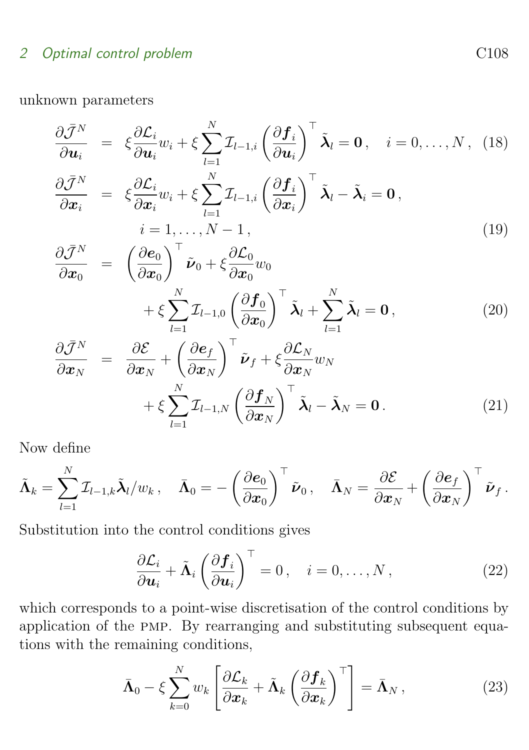unknown parameters

$$
\frac{\partial \bar{\mathcal{J}}^N}{\partial \boldsymbol{u}_i} = \xi \frac{\partial \mathcal{L}_i}{\partial \boldsymbol{u}_i} w_i + \xi \sum_{l=1}^N \mathcal{I}_{l-1,i} \left( \frac{\partial \boldsymbol{f}_i}{\partial \boldsymbol{u}_i} \right)^{\top} \tilde{\boldsymbol{\lambda}}_l = \boldsymbol{0}, \quad i = 0, \ldots, N, \tag{18}
$$

$$
\frac{\partial \bar{\mathcal{J}}^N}{\partial \mathbf{x}_i} = \xi \frac{\partial \mathcal{L}_i}{\partial \mathbf{x}_i} w_i + \xi \sum_{l=1}^N \mathcal{I}_{l-1,i} \left( \frac{\partial \mathbf{f}_i}{\partial \mathbf{x}_i} \right)^{\top} \tilde{\boldsymbol{\lambda}}_l - \tilde{\boldsymbol{\lambda}}_i = \mathbf{0},
$$
  
\n $i = 1, ..., N - 1,$  (19)

$$
\frac{\partial \bar{\mathcal{J}}^N}{\partial \mathbf{x}_0} = \left( \frac{\partial \mathbf{e}_0}{\partial \mathbf{x}_0} \right)^{\top} \tilde{\mathbf{\nu}}_0 + \xi \frac{\partial \mathcal{L}_0}{\partial \mathbf{x}_0} w_0 \n+ \xi \sum_{l=1}^N \mathcal{I}_{l-1,0} \left( \frac{\partial \mathbf{f}_0}{\partial \mathbf{x}_0} \right)^{\top} \tilde{\mathbf{\lambda}}_l + \sum_{l=1}^N \tilde{\mathbf{\lambda}}_l = \mathbf{0},
$$
\n(20)

$$
\frac{\partial \bar{\mathcal{J}}^N}{\partial \mathbf{x}_N} = \frac{\partial \mathcal{E}}{\partial \mathbf{x}_N} + \left(\frac{\partial \mathbf{e}_f}{\partial \mathbf{x}_N}\right)^{\top} \tilde{\mathbf{\nu}}_f + \xi \frac{\partial \mathcal{L}_N}{\partial \mathbf{x}_N} w_N \n+ \xi \sum_{l=1}^N \mathcal{I}_{l-1,N} \left(\frac{\partial \mathbf{f}_N}{\partial \mathbf{x}_N}\right)^{\top} \tilde{\mathbf{\lambda}}_l - \tilde{\mathbf{\lambda}}_N = \mathbf{0}.
$$
\n(21)

Now define

$$
\tilde{\boldsymbol{\Lambda}}_k = \sum_{l=1}^N \mathcal{I}_{l-1,k} \tilde{\boldsymbol{\lambda}}_l / w_k \, , \quad \bar{\boldsymbol{\Lambda}}_0 = - \left( \frac{\partial \boldsymbol{e}_0}{\partial \boldsymbol{x}_0} \right)^\top \tilde{\boldsymbol{\nu}}_0 \, , \quad \bar{\boldsymbol{\Lambda}}_N = \frac{\partial \mathcal{E}}{\partial \boldsymbol{x}_N} + \left( \frac{\partial \boldsymbol{e}_f}{\partial \boldsymbol{x}_N} \right)^\top \tilde{\boldsymbol{\nu}}_f \, .
$$

Substitution into the control conditions gives

$$
\frac{\partial \mathcal{L}_i}{\partial \mathbf{u}_i} + \tilde{\mathbf{\Lambda}}_i \left( \frac{\partial \mathbf{f}_i}{\partial \mathbf{u}_i} \right)^{\top} = 0, \quad i = 0, \dots, N,
$$
\n(22)

which corresponds to a point-wise discretisation of the control conditions by application of the pmp. By rearranging and substituting subsequent equations with the remaining conditions,

$$
\bar{\mathbf{\Lambda}}_0 - \xi \sum_{k=0}^N w_k \left[ \frac{\partial \mathcal{L}_k}{\partial \mathbf{x}_k} + \tilde{\mathbf{\Lambda}}_k \left( \frac{\partial \mathbf{f}_k}{\partial \mathbf{x}_k} \right)^{\top} \right] = \bar{\mathbf{\Lambda}}_N , \qquad (23)
$$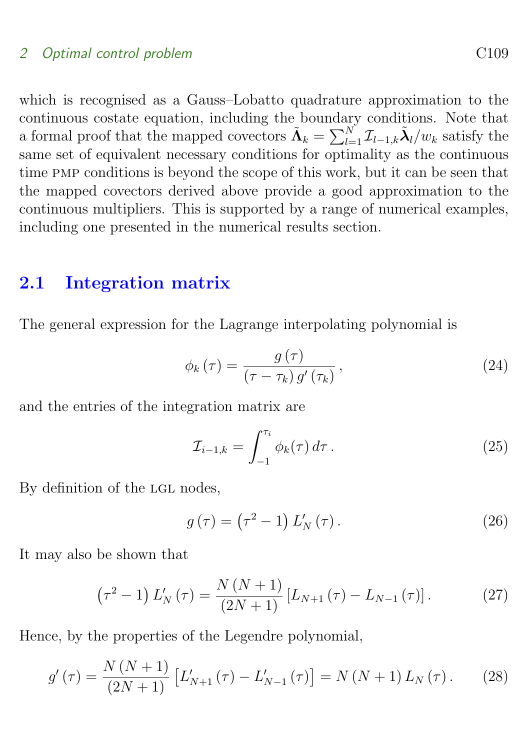which is recognised as a Gauss–Lobatto quadrature approximation to the continuous costate equation, including the boundary conditions. Note that a formal proof that the mapped covectors  $\tilde{\Lambda}_k = \sum_{l=1}^N \mathcal{I}_{l-1,k} \tilde{\lambda}_l/w_k$  satisfy the same set of equivalent necessary conditions for optimality as the continuous time pmp conditions is beyond the scope of this work, but it can be seen that the mapped covectors derived above provide a good approximation to the continuous multipliers. This is supported by a range of numerical examples, including one presented in the numerical results section.

# <span id="page-8-0"></span>2.1 Integration matrix

The general expression for the Lagrange interpolating polynomial is

$$
\phi_k(\tau) = \frac{g(\tau)}{(\tau - \tau_k) g'(\tau_k)},
$$
\n(24)

and the entries of the integration matrix are

$$
\mathcal{I}_{i-1,k} = \int_{-1}^{\tau_i} \phi_k(\tau) d\tau.
$$
\n(25)

By definition of the LGL nodes,

$$
g\left(\tau\right) = \left(\tau^2 - 1\right) L'_N\left(\tau\right). \tag{26}
$$

It may also be shown that

$$
\left(\tau^2 - 1\right)L'_N(\tau) = \frac{N\left(N + 1\right)}{\left(2N + 1\right)} \left[L_{N+1}(\tau) - L_{N-1}(\tau)\right].\tag{27}
$$

Hence, by the properties of the Legendre polynomial,

$$
g'(\tau) = \frac{N(N+1)}{(2N+1)} \left[ L'_{N+1}(\tau) - L'_{N-1}(\tau) \right] = N(N+1) L_N(\tau). \tag{28}
$$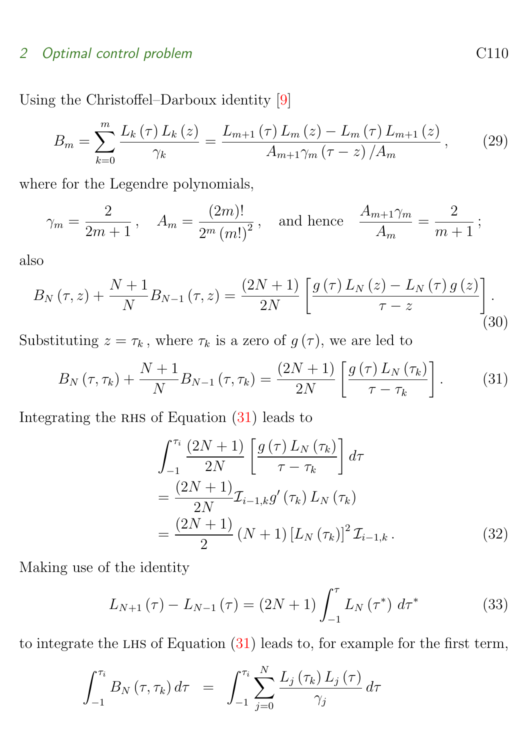<span id="page-9-2"></span>Using the Christoffel–Darboux identity [\[9\]](#page-14-3)

$$
B_{m} = \sum_{k=0}^{m} \frac{L_{k}(\tau) L_{k}(z)}{\gamma_{k}} = \frac{L_{m+1}(\tau) L_{m}(z) - L_{m}(\tau) L_{m+1}(z)}{A_{m+1}\gamma_{m}(\tau - z) / A_{m}},
$$
(29)

where for the Legendre polynomials,

$$
\gamma_m = \frac{2}{2m+1}
$$
,  $A_m = \frac{(2m)!}{2^m (m!)^2}$ , and hence  $\frac{A_{m+1}\gamma_m}{A_m} = \frac{2}{m+1}$ ;

also

$$
B_{N}(\tau,z) + \frac{N+1}{N} B_{N-1}(\tau,z) = \frac{(2N+1)}{2N} \left[ \frac{g(\tau) L_{N}(z) - L_{N}(\tau) g(z)}{\tau - z} \right].
$$
\n(30)

Substituting  $z = \tau_k$ , where  $\tau_k$  is a zero of  $g(\tau)$ , we are led to

$$
B_N(\tau, \tau_k) + \frac{N+1}{N} B_{N-1}(\tau, \tau_k) = \frac{(2N+1)}{2N} \left[ \frac{g(\tau) L_N(\tau_k)}{\tau - \tau_k} \right].
$$
 (31)

Integrating the RHS of Equation  $(31)$  leads to

<span id="page-9-1"></span><span id="page-9-0"></span>
$$
\int_{-1}^{\tau_{i}} \frac{(2N+1)}{2N} \left[ \frac{g(\tau) L_{N}(\tau_{k})}{\tau - \tau_{k}} \right] d\tau
$$
  
= 
$$
\frac{(2N+1)}{2N} \mathcal{I}_{i-1,k} g'(\tau_{k}) L_{N}(\tau_{k})
$$
  
= 
$$
\frac{(2N+1)}{2} (N+1) [L_{N}(\tau_{k})]^{2} \mathcal{I}_{i-1,k}.
$$
 (32)

Making use of the identity

$$
L_{N+1}(\tau) - L_{N-1}(\tau) = (2N+1) \int_{-1}^{\tau} L_N(\tau^*) d\tau^*
$$
 (33)

to integrate the LHS of Equation  $(31)$  leads to, for example for the first term,

$$
\int_{-1}^{\tau_i} B_N(\tau, \tau_k) d\tau = \int_{-1}^{\tau_i} \sum_{j=0}^N \frac{L_j(\tau_k) L_j(\tau)}{\gamma_j} d\tau
$$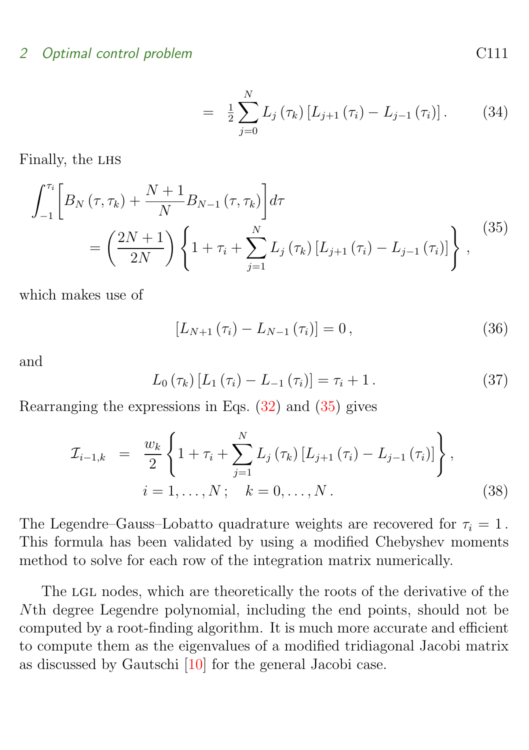<span id="page-10-0"></span>
$$
= \frac{1}{2} \sum_{j=0}^{N} L_j(\tau_k) [L_{j+1}(\tau_i) - L_{j-1}(\tau_i)]. \tag{34}
$$

<span id="page-10-1"></span>Finally, the LHS

$$
\int_{-1}^{\tau_i} \left[ B_N(\tau, \tau_k) + \frac{N+1}{N} B_{N-1}(\tau, \tau_k) \right] d\tau
$$
\n
$$
= \left( \frac{2N+1}{2N} \right) \left\{ 1 + \tau_i + \sum_{j=1}^{N} L_j(\tau_k) \left[ L_{j+1}(\tau_i) - L_{j-1}(\tau_i) \right] \right\}, \tag{35}
$$

which makes use of

$$
[L_{N+1}(\tau_i) - L_{N-1}(\tau_i)] = 0, \qquad (36)
$$

and

$$
L_0(\tau_k) [L_1(\tau_i) - L_{-1}(\tau_i)] = \tau_i + 1.
$$
 (37)

Rearranging the expressions in Eqs. [\(32\)](#page-9-1) and [\(35\)](#page-10-0) gives

$$
\mathcal{I}_{i-1,k} = \frac{w_k}{2} \left\{ 1 + \tau_i + \sum_{j=1}^{N} L_j(\tau_k) \left[ L_{j+1}(\tau_i) - L_{j-1}(\tau_i) \right] \right\},
$$
  
\n $i = 1, ..., N; \quad k = 0, ..., N.$  (38)

The Legendre–Gauss–Lobatto quadrature weights are recovered for  $\tau_i = 1$ . This formula has been validated by using a modified Chebyshev moments method to solve for each row of the integration matrix numerically.

The LGL nodes, which are theoretically the roots of the derivative of the Nth degree Legendre polynomial, including the end points, should not be computed by a root-finding algorithm. It is much more accurate and efficient to compute them as the eigenvalues of a modified tridiagonal Jacobi matrix as discussed by Gautschi [\[10\]](#page-14-4) for the general Jacobi case.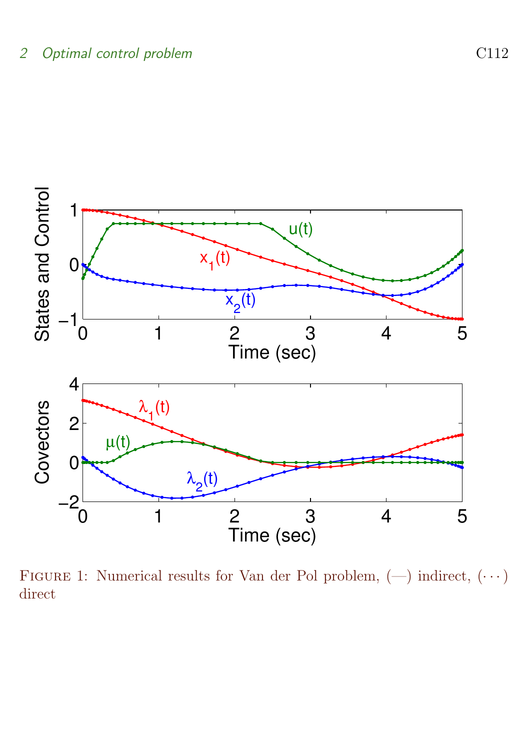

<span id="page-11-0"></span>FIGURE 1: Numerical results for Van der Pol problem,  $(-)$  indirect,  $(\cdots)$ direct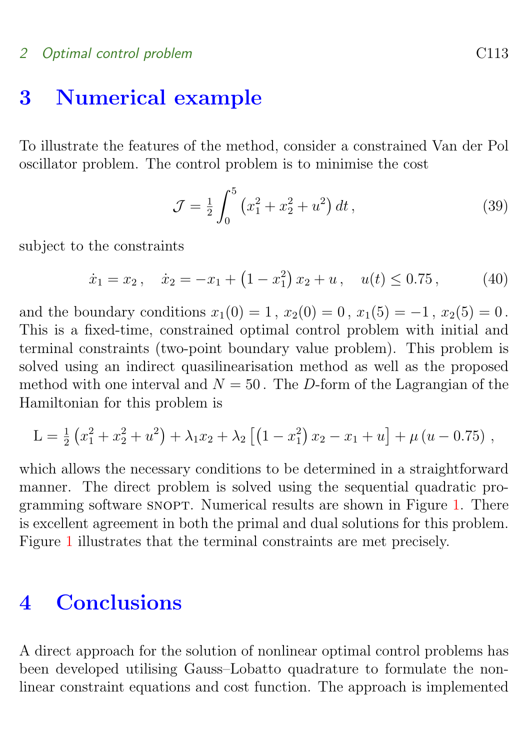# <span id="page-12-0"></span>3 Numerical example

To illustrate the features of the method, consider a constrained Van der Pol oscillator problem. The control problem is to minimise the cost

$$
\mathcal{J} = \frac{1}{2} \int_0^5 \left( x_1^2 + x_2^2 + u^2 \right) dt \,, \tag{39}
$$

subject to the constraints

$$
\dot{x}_1 = x_2, \quad \dot{x}_2 = -x_1 + \left(1 - x_1^2\right)x_2 + u, \quad u(t) \le 0.75, \tag{40}
$$

and the boundary conditions  $x_1(0) = 1$ ,  $x_2(0) = 0$ ,  $x_1(5) = -1$ ,  $x_2(5) = 0$ . This is a fixed-time, constrained optimal control problem with initial and terminal constraints (two-point boundary value problem). This problem is solved using an indirect quasilinearisation method as well as the proposed method with one interval and  $N = 50$ . The D-form of the Lagrangian of the Hamiltonian for this problem is

$$
L = \frac{1}{2} \left( x_1^2 + x_2^2 + u^2 \right) + \lambda_1 x_2 + \lambda_2 \left[ \left( 1 - x_1^2 \right) x_2 - x_1 + u \right] + \mu \left( u - 0.75 \right) ,
$$

which allows the necessary conditions to be determined in a straightforward manner. The direct problem is solved using the sequential quadratic pro-gramming software SNOPT. Numerical results are shown in Figure [1.](#page-11-0) There is excellent agreement in both the primal and dual solutions for this problem. Figure [1](#page-11-0) illustrates that the terminal constraints are met precisely.

# <span id="page-12-1"></span>4 Conclusions

A direct approach for the solution of nonlinear optimal control problems has been developed utilising Gauss–Lobatto quadrature to formulate the nonlinear constraint equations and cost function. The approach is implemented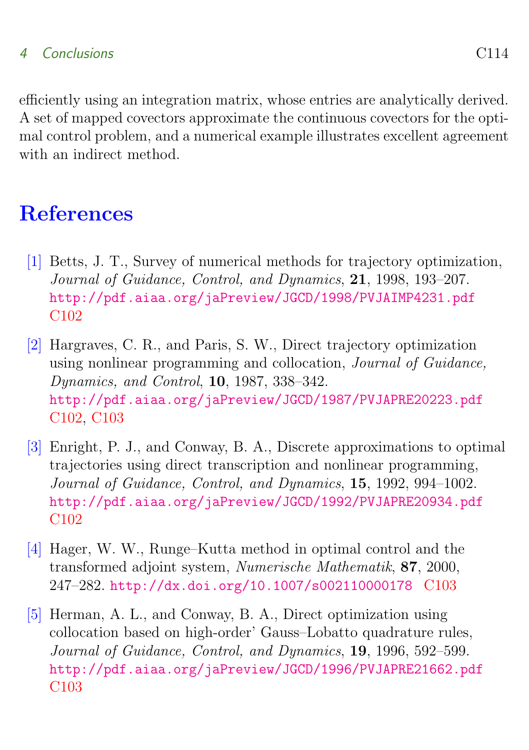# 4 Conclusions C114

efficiently using an integration matrix, whose entries are analytically derived. A set of mapped covectors approximate the continuous covectors for the optimal control problem, and a numerical example illustrates excellent agreement with an indirect method.

# References

- <span id="page-13-1"></span><span id="page-13-0"></span>[1] Betts, J. T., Survey of numerical methods for trajectory optimization, Journal of Guidance, Control, and Dynamics, 21, 1998, 193–207. <http://pdf.aiaa.org/jaPreview/JGCD/1998/PVJAIMP4231.pdf> [C102](#page-1-1)
- <span id="page-13-2"></span>[2] Hargraves, C. R., and Paris, S. W., Direct trajectory optimization using nonlinear programming and collocation, Journal of Guidance, Dynamics, and Control, 10, 1987, 338–342. <http://pdf.aiaa.org/jaPreview/JGCD/1987/PVJAPRE20223.pdf> [C102,](#page-1-1) [C103](#page-2-1)
- <span id="page-13-3"></span>[3] Enright, P. J., and Conway, B. A., Discrete approximations to optimal trajectories using direct transcription and nonlinear programming, Journal of Guidance, Control, and Dynamics, 15, 1992, 994–1002. <http://pdf.aiaa.org/jaPreview/JGCD/1992/PVJAPRE20934.pdf> [C102](#page-1-1)
- <span id="page-13-4"></span>[4] Hager, W. W., Runge–Kutta method in optimal control and the transformed adjoint system, Numerische Mathematik, 87, 2000, 247–282. <http://dx.doi.org/10.1007/s002110000178> [C103](#page-2-1)
- <span id="page-13-5"></span>[5] Herman, A. L., and Conway, B. A., Direct optimization using collocation based on high-order' Gauss–Lobatto quadrature rules, Journal of Guidance, Control, and Dynamics, 19, 1996, 592–599. <http://pdf.aiaa.org/jaPreview/JGCD/1996/PVJAPRE21662.pdf> [C103](#page-2-1)